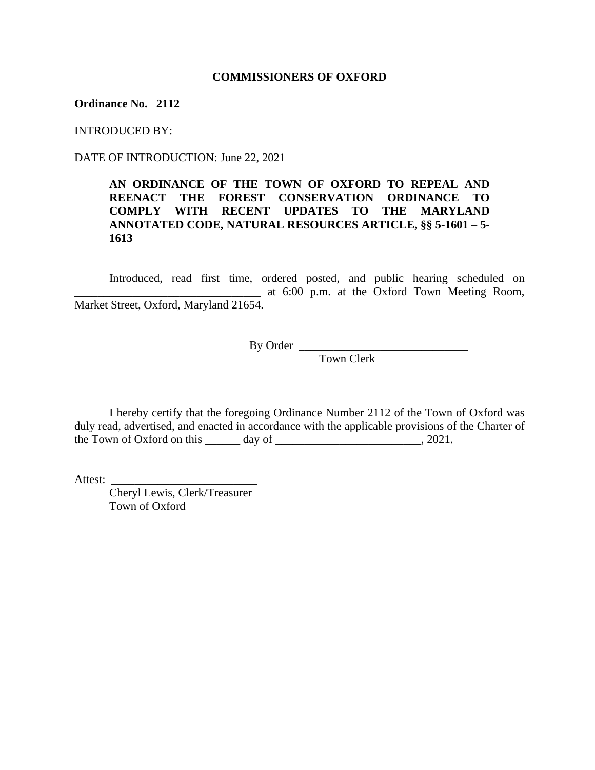### **COMMISSIONERS OF OXFORD**

### **Ordinance No. 2112**

INTRODUCED BY:

DATE OF INTRODUCTION: June 22, 2021

# **AN ORDINANCE OF THE TOWN OF OXFORD TO REPEAL AND REENACT THE FOREST CONSERVATION ORDINANCE TO COMPLY WITH RECENT UPDATES TO THE MARYLAND ANNOTATED CODE, NATURAL RESOURCES ARTICLE, §§ 5-1601 – 5- 1613**

Introduced, read first time, ordered posted, and public hearing scheduled on \_\_\_\_\_\_\_\_\_\_\_\_\_\_\_\_\_\_\_\_\_\_\_\_\_\_\_\_\_\_\_\_ at 6:00 p.m. at the Oxford Town Meeting Room, Market Street, Oxford, Maryland 21654.

By Order \_\_\_\_\_\_\_\_\_\_\_\_\_\_\_\_\_\_\_\_\_\_\_\_\_\_\_\_\_

Town Clerk

I hereby certify that the foregoing Ordinance Number 2112 of the Town of Oxford was duly read, advertised, and enacted in accordance with the applicable provisions of the Charter of the Town of Oxford on this day of  $\cdot$ , 2021.

Attest:

Cheryl Lewis, Clerk/Treasurer Town of Oxford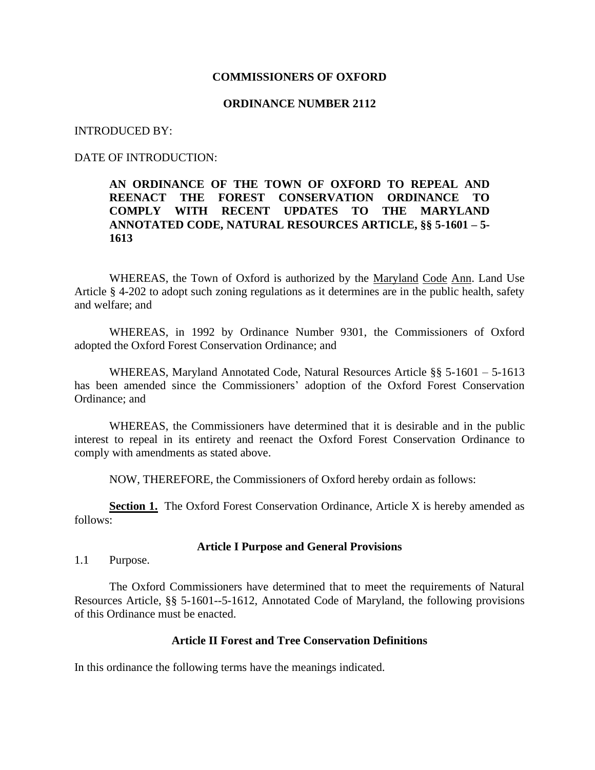### **COMMISSIONERS OF OXFORD**

### **ORDINANCE NUMBER 2112**

### INTRODUCED BY:

### DATE OF INTRODUCTION:

# **AN ORDINANCE OF THE TOWN OF OXFORD TO REPEAL AND REENACT THE FOREST CONSERVATION ORDINANCE TO COMPLY WITH RECENT UPDATES TO THE MARYLAND ANNOTATED CODE, NATURAL RESOURCES ARTICLE, §§ 5-1601 – 5- 1613**

WHEREAS, the Town of Oxford is authorized by the Maryland Code Ann. Land Use Article § 4-202 to adopt such zoning regulations as it determines are in the public health, safety and welfare; and

WHEREAS, in 1992 by Ordinance Number 9301, the Commissioners of Oxford adopted the Oxford Forest Conservation Ordinance; and

WHEREAS, Maryland Annotated Code, Natural Resources Article §§ 5-1601 – 5-1613 has been amended since the Commissioners' adoption of the Oxford Forest Conservation Ordinance; and

WHEREAS, the Commissioners have determined that it is desirable and in the public interest to repeal in its entirety and reenact the Oxford Forest Conservation Ordinance to comply with amendments as stated above.

NOW, THEREFORE, the Commissioners of Oxford hereby ordain as follows:

**Section 1.** The Oxford Forest Conservation Ordinance, Article X is hereby amended as follows:

#### **Article I Purpose and General Provisions**

1.1 Purpose.

The Oxford Commissioners have determined that to meet the requirements of Natural Resources Article, §§ 5-1601--5-1612, Annotated Code of Maryland, the following provisions of this Ordinance must be enacted.

## **Article II Forest and Tree Conservation Definitions**

In this ordinance the following terms have the meanings indicated.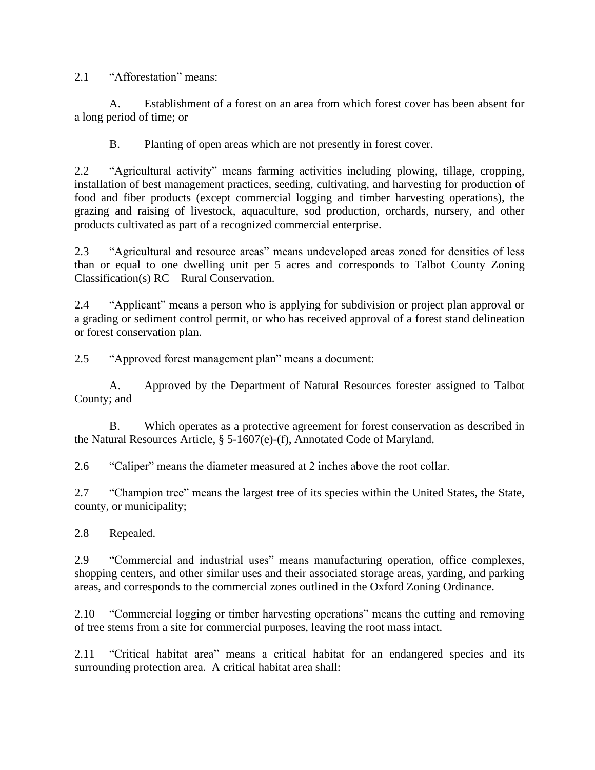2.1 "Afforestation" means:

A. Establishment of a forest on an area from which forest cover has been absent for a long period of time; or

B. Planting of open areas which are not presently in forest cover.

2.2 "Agricultural activity" means farming activities including plowing, tillage, cropping, installation of best management practices, seeding, cultivating, and harvesting for production of food and fiber products (except commercial logging and timber harvesting operations), the grazing and raising of livestock, aquaculture, sod production, orchards, nursery, and other products cultivated as part of a recognized commercial enterprise.

2.3 "Agricultural and resource areas" means undeveloped areas zoned for densities of less than or equal to one dwelling unit per 5 acres and corresponds to Talbot County Zoning Classification(s) RC – Rural Conservation.

2.4 "Applicant" means a person who is applying for subdivision or project plan approval or a grading or sediment control permit, or who has received approval of a forest stand delineation or forest conservation plan.

2.5 "Approved forest management plan" means a document:

A. Approved by the Department of Natural Resources forester assigned to Talbot County; and

B. Which operates as a protective agreement for forest conservation as described in the Natural Resources Article, § 5-1607(e)-(f), Annotated Code of Maryland.

2.6 "Caliper" means the diameter measured at 2 inches above the root collar.

2.7 "Champion tree" means the largest tree of its species within the United States, the State, county, or municipality;

2.8 Repealed.

2.9 "Commercial and industrial uses" means manufacturing operation, office complexes, shopping centers, and other similar uses and their associated storage areas, yarding, and parking areas, and corresponds to the commercial zones outlined in the Oxford Zoning Ordinance.

2.10 "Commercial logging or timber harvesting operations" means the cutting and removing of tree stems from a site for commercial purposes, leaving the root mass intact.

2.11 "Critical habitat area" means a critical habitat for an endangered species and its surrounding protection area. A critical habitat area shall: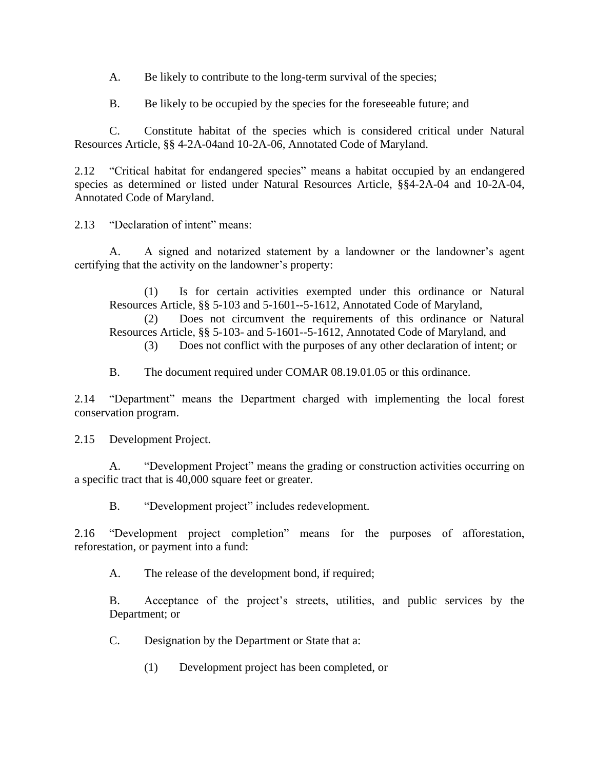A. Be likely to contribute to the long-term survival of the species;

B. Be likely to be occupied by the species for the foreseeable future; and

C. Constitute habitat of the species which is considered critical under Natural Resources Article, §§ 4-2A-04and 10-2A-06, Annotated Code of Maryland.

2.12 "Critical habitat for endangered species" means a habitat occupied by an endangered species as determined or listed under Natural Resources Article, §§4-2A-04 and 10-2A-04, Annotated Code of Maryland.

2.13 "Declaration of intent" means:

A. A signed and notarized statement by a landowner or the landowner's agent certifying that the activity on the landowner's property:

(1) Is for certain activities exempted under this ordinance or Natural Resources Article, §§ 5-103 and 5-1601--5-1612, Annotated Code of Maryland,

(2) Does not circumvent the requirements of this ordinance or Natural Resources Article, §§ 5-103- and 5-1601--5-1612, Annotated Code of Maryland, and

(3) Does not conflict with the purposes of any other declaration of intent; or

B. The document required under COMAR 08.19.01.05 or this ordinance.

2.14 "Department" means the Department charged with implementing the local forest conservation program.

2.15 Development Project.

A. "Development Project" means the grading or construction activities occurring on a specific tract that is 40,000 square feet or greater.

B. "Development project" includes redevelopment.

2.16 "Development project completion" means for the purposes of afforestation, reforestation, or payment into a fund:

A. The release of the development bond, if required;

B. Acceptance of the project's streets, utilities, and public services by the Department; or

C. Designation by the Department or State that a:

(1) Development project has been completed, or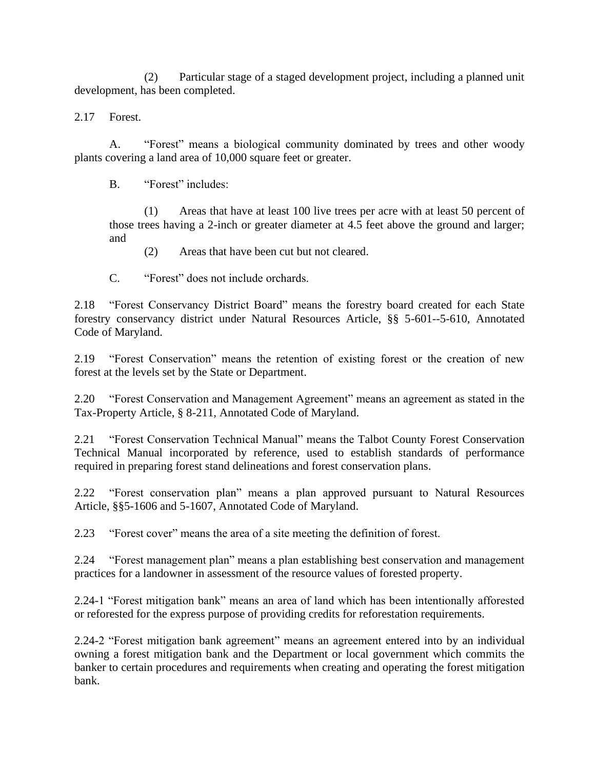(2) Particular stage of a staged development project, including a planned unit development, has been completed.

2.17 Forest.

A. "Forest" means a biological community dominated by trees and other woody plants covering a land area of 10,000 square feet or greater.

B. "Forest" includes:

(1) Areas that have at least 100 live trees per acre with at least 50 percent of those trees having a 2-inch or greater diameter at 4.5 feet above the ground and larger; and

(2) Areas that have been cut but not cleared.

C. "Forest" does not include orchards.

2.18 "Forest Conservancy District Board" means the forestry board created for each State forestry conservancy district under Natural Resources Article, §§ 5-601--5-610, Annotated Code of Maryland.

2.19 "Forest Conservation" means the retention of existing forest or the creation of new forest at the levels set by the State or Department.

2.20 "Forest Conservation and Management Agreement" means an agreement as stated in the Tax-Property Article, § 8-211, Annotated Code of Maryland.

2.21 "Forest Conservation Technical Manual" means the Talbot County Forest Conservation Technical Manual incorporated by reference, used to establish standards of performance required in preparing forest stand delineations and forest conservation plans.

2.22 "Forest conservation plan" means a plan approved pursuant to Natural Resources Article, §§5-1606 and 5-1607, Annotated Code of Maryland.

2.23 "Forest cover" means the area of a site meeting the definition of forest.

2.24 "Forest management plan" means a plan establishing best conservation and management practices for a landowner in assessment of the resource values of forested property.

2.24-1 "Forest mitigation bank" means an area of land which has been intentionally afforested or reforested for the express purpose of providing credits for reforestation requirements.

2.24-2 "Forest mitigation bank agreement" means an agreement entered into by an individual owning a forest mitigation bank and the Department or local government which commits the banker to certain procedures and requirements when creating and operating the forest mitigation bank.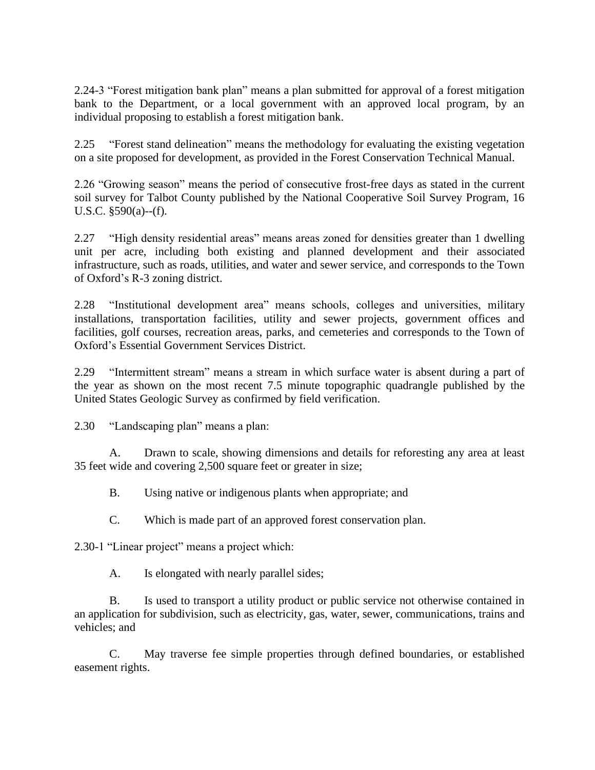2.24-3 "Forest mitigation bank plan" means a plan submitted for approval of a forest mitigation bank to the Department, or a local government with an approved local program, by an individual proposing to establish a forest mitigation bank.

2.25 "Forest stand delineation" means the methodology for evaluating the existing vegetation on a site proposed for development, as provided in the Forest Conservation Technical Manual.

2.26 "Growing season" means the period of consecutive frost-free days as stated in the current soil survey for Talbot County published by the National Cooperative Soil Survey Program, 16 U.S.C. §590(a)--(f).

2.27 "High density residential areas" means areas zoned for densities greater than 1 dwelling unit per acre, including both existing and planned development and their associated infrastructure, such as roads, utilities, and water and sewer service, and corresponds to the Town of Oxford's R-3 zoning district.

2.28 "Institutional development area" means schools, colleges and universities, military installations, transportation facilities, utility and sewer projects, government offices and facilities, golf courses, recreation areas, parks, and cemeteries and corresponds to the Town of Oxford's Essential Government Services District.

2.29 "Intermittent stream" means a stream in which surface water is absent during a part of the year as shown on the most recent 7.5 minute topographic quadrangle published by the United States Geologic Survey as confirmed by field verification.

2.30 "Landscaping plan" means a plan:

A. Drawn to scale, showing dimensions and details for reforesting any area at least 35 feet wide and covering 2,500 square feet or greater in size;

B. Using native or indigenous plants when appropriate; and

C. Which is made part of an approved forest conservation plan.

2.30-1 "Linear project" means a project which:

A. Is elongated with nearly parallel sides;

B. Is used to transport a utility product or public service not otherwise contained in an application for subdivision, such as electricity, gas, water, sewer, communications, trains and vehicles; and

C. May traverse fee simple properties through defined boundaries, or established easement rights.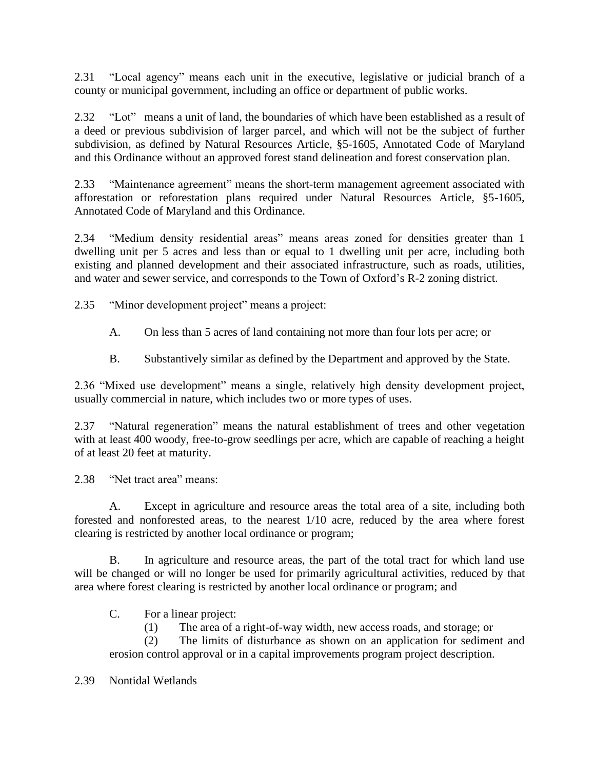2.31 "Local agency" means each unit in the executive, legislative or judicial branch of a county or municipal government, including an office or department of public works.

2.32 "Lot" means a unit of land, the boundaries of which have been established as a result of a deed or previous subdivision of larger parcel, and which will not be the subject of further subdivision, as defined by Natural Resources Article, §5-1605, Annotated Code of Maryland and this Ordinance without an approved forest stand delineation and forest conservation plan.

2.33 "Maintenance agreement" means the short-term management agreement associated with afforestation or reforestation plans required under Natural Resources Article, §5-1605, Annotated Code of Maryland and this Ordinance.

2.34 "Medium density residential areas" means areas zoned for densities greater than 1 dwelling unit per 5 acres and less than or equal to 1 dwelling unit per acre, including both existing and planned development and their associated infrastructure, such as roads, utilities, and water and sewer service, and corresponds to the Town of Oxford's R-2 zoning district.

2.35 "Minor development project" means a project:

- A. On less than 5 acres of land containing not more than four lots per acre; or
- B. Substantively similar as defined by the Department and approved by the State.

2.36 "Mixed use development" means a single, relatively high density development project, usually commercial in nature, which includes two or more types of uses.

2.37 "Natural regeneration" means the natural establishment of trees and other vegetation with at least 400 woody, free-to-grow seedlings per acre, which are capable of reaching a height of at least 20 feet at maturity.

2.38 "Net tract area" means:

A. Except in agriculture and resource areas the total area of a site, including both forested and nonforested areas, to the nearest 1/10 acre, reduced by the area where forest clearing is restricted by another local ordinance or program;

B. In agriculture and resource areas, the part of the total tract for which land use will be changed or will no longer be used for primarily agricultural activities, reduced by that area where forest clearing is restricted by another local ordinance or program; and

C. For a linear project:

(1) The area of a right-of-way width, new access roads, and storage; or

(2) The limits of disturbance as shown on an application for sediment and erosion control approval or in a capital improvements program project description.

2.39 Nontidal Wetlands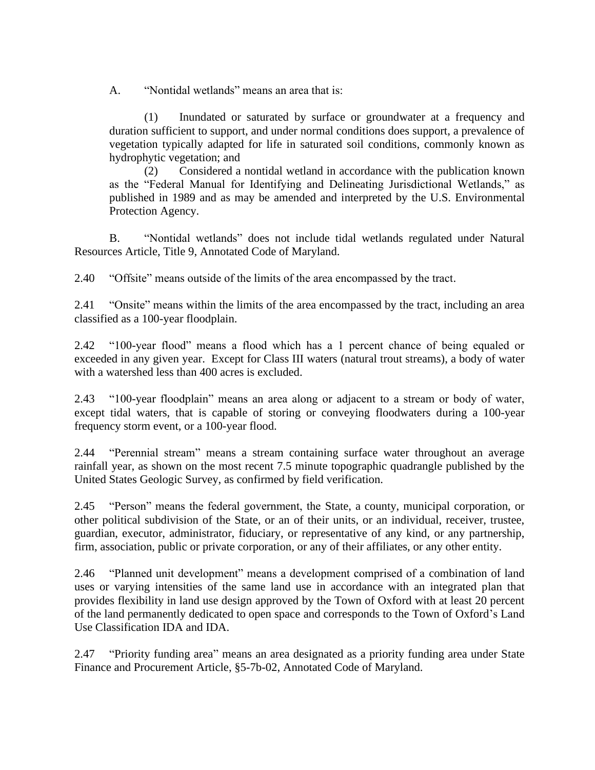A. "Nontidal wetlands" means an area that is:

(1) Inundated or saturated by surface or groundwater at a frequency and duration sufficient to support, and under normal conditions does support, a prevalence of vegetation typically adapted for life in saturated soil conditions, commonly known as hydrophytic vegetation; and

(2) Considered a nontidal wetland in accordance with the publication known as the "Federal Manual for Identifying and Delineating Jurisdictional Wetlands," as published in 1989 and as may be amended and interpreted by the U.S. Environmental Protection Agency.

B. "Nontidal wetlands" does not include tidal wetlands regulated under Natural Resources Article, Title 9, Annotated Code of Maryland.

2.40 "Offsite" means outside of the limits of the area encompassed by the tract.

2.41 "Onsite" means within the limits of the area encompassed by the tract, including an area classified as a 100-year floodplain.

2.42 "100-year flood" means a flood which has a 1 percent chance of being equaled or exceeded in any given year. Except for Class III waters (natural trout streams), a body of water with a watershed less than 400 acres is excluded.

2.43 "100-year floodplain" means an area along or adjacent to a stream or body of water, except tidal waters, that is capable of storing or conveying floodwaters during a 100-year frequency storm event, or a 100-year flood.

2.44 "Perennial stream" means a stream containing surface water throughout an average rainfall year, as shown on the most recent 7.5 minute topographic quadrangle published by the United States Geologic Survey, as confirmed by field verification.

2.45 "Person" means the federal government, the State, a county, municipal corporation, or other political subdivision of the State, or an of their units, or an individual, receiver, trustee, guardian, executor, administrator, fiduciary, or representative of any kind, or any partnership, firm, association, public or private corporation, or any of their affiliates, or any other entity.

2.46 "Planned unit development" means a development comprised of a combination of land uses or varying intensities of the same land use in accordance with an integrated plan that provides flexibility in land use design approved by the Town of Oxford with at least 20 percent of the land permanently dedicated to open space and corresponds to the Town of Oxford's Land Use Classification IDA and IDA.

2.47 "Priority funding area" means an area designated as a priority funding area under State Finance and Procurement Article, §5-7b-02, Annotated Code of Maryland.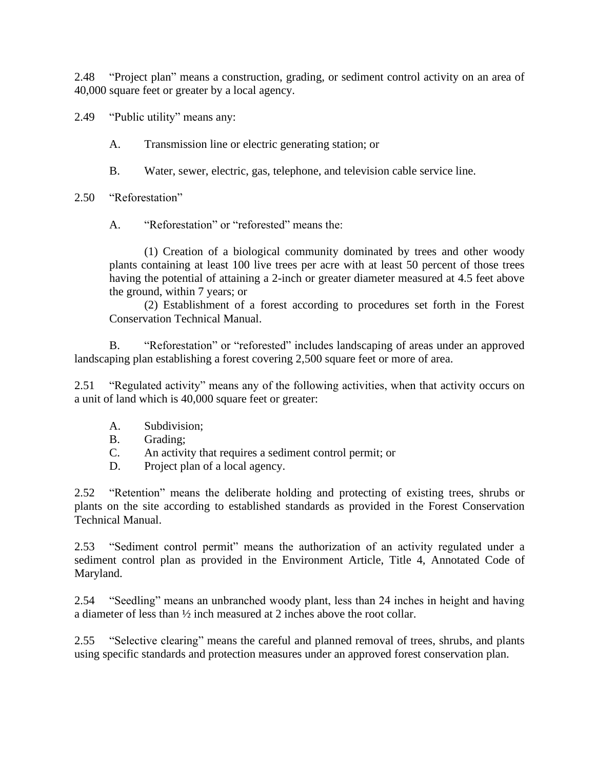2.48 "Project plan" means a construction, grading, or sediment control activity on an area of 40,000 square feet or greater by a local agency.

2.49 "Public utility" means any:

A. Transmission line or electric generating station; or

- B. Water, sewer, electric, gas, telephone, and television cable service line.
- 2.50 "Reforestation"

A. "Reforestation" or "reforested" means the:

(1) Creation of a biological community dominated by trees and other woody plants containing at least 100 live trees per acre with at least 50 percent of those trees having the potential of attaining a 2-inch or greater diameter measured at 4.5 feet above the ground, within 7 years; or

(2) Establishment of a forest according to procedures set forth in the Forest Conservation Technical Manual.

B. "Reforestation" or "reforested" includes landscaping of areas under an approved landscaping plan establishing a forest covering 2,500 square feet or more of area.

2.51 "Regulated activity" means any of the following activities, when that activity occurs on a unit of land which is 40,000 square feet or greater:

- A. Subdivision;
- B. Grading;
- C. An activity that requires a sediment control permit; or
- D. Project plan of a local agency.

2.52 "Retention" means the deliberate holding and protecting of existing trees, shrubs or plants on the site according to established standards as provided in the Forest Conservation Technical Manual.

2.53 "Sediment control permit" means the authorization of an activity regulated under a sediment control plan as provided in the Environment Article, Title 4, Annotated Code of Maryland.

2.54 "Seedling" means an unbranched woody plant, less than 24 inches in height and having a diameter of less than ½ inch measured at 2 inches above the root collar.

2.55 "Selective clearing" means the careful and planned removal of trees, shrubs, and plants using specific standards and protection measures under an approved forest conservation plan.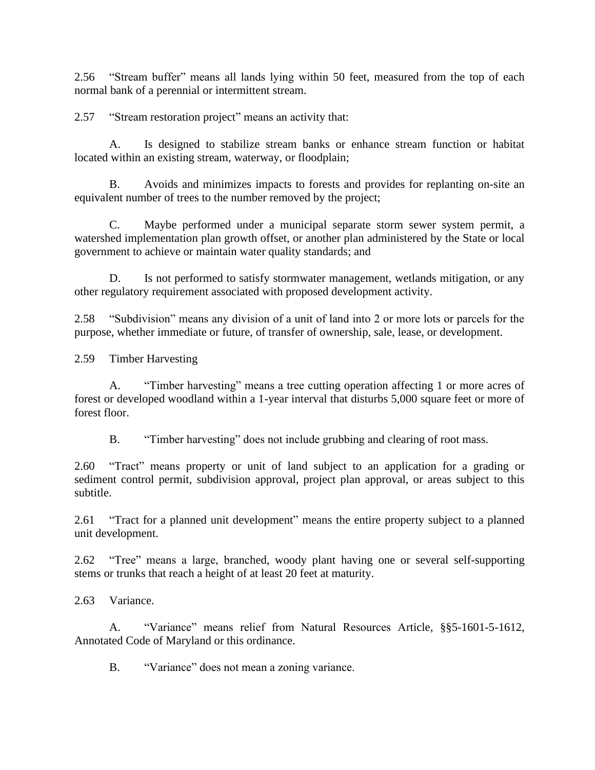2.56 "Stream buffer" means all lands lying within 50 feet, measured from the top of each normal bank of a perennial or intermittent stream.

2.57 "Stream restoration project" means an activity that:

A. Is designed to stabilize stream banks or enhance stream function or habitat located within an existing stream, waterway, or floodplain;

B. Avoids and minimizes impacts to forests and provides for replanting on-site an equivalent number of trees to the number removed by the project;

C. Maybe performed under a municipal separate storm sewer system permit, a watershed implementation plan growth offset, or another plan administered by the State or local government to achieve or maintain water quality standards; and

D. Is not performed to satisfy stormwater management, wetlands mitigation, or any other regulatory requirement associated with proposed development activity.

2.58 "Subdivision" means any division of a unit of land into 2 or more lots or parcels for the purpose, whether immediate or future, of transfer of ownership, sale, lease, or development.

2.59 Timber Harvesting

A. "Timber harvesting" means a tree cutting operation affecting 1 or more acres of forest or developed woodland within a 1-year interval that disturbs 5,000 square feet or more of forest floor.

B. "Timber harvesting" does not include grubbing and clearing of root mass.

2.60 "Tract" means property or unit of land subject to an application for a grading or sediment control permit, subdivision approval, project plan approval, or areas subject to this subtitle.

2.61 "Tract for a planned unit development" means the entire property subject to a planned unit development.

2.62 "Tree" means a large, branched, woody plant having one or several self-supporting stems or trunks that reach a height of at least 20 feet at maturity.

2.63 Variance.

A. "Variance" means relief from Natural Resources Article, §§5-1601-5-1612, Annotated Code of Maryland or this ordinance.

B. "Variance" does not mean a zoning variance.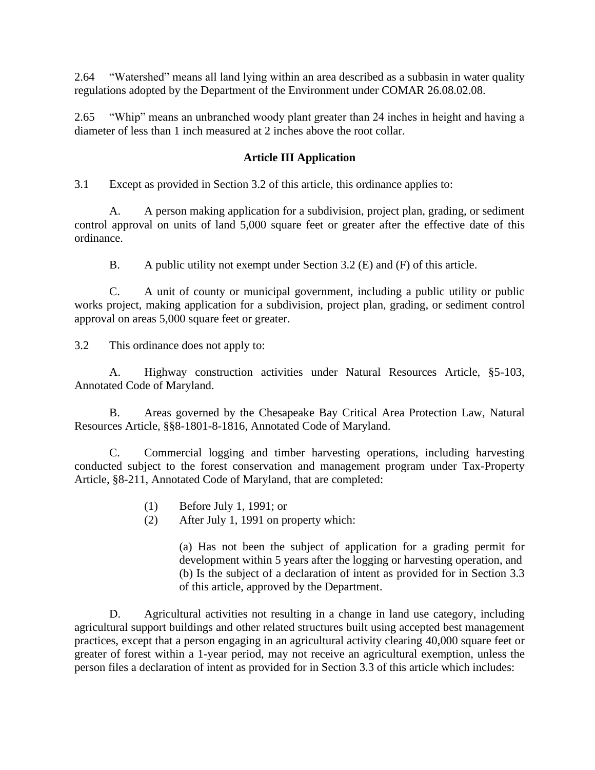2.64 "Watershed" means all land lying within an area described as a subbasin in water quality regulations adopted by the Department of the Environment under COMAR 26.08.02.08.

2.65 "Whip" means an unbranched woody plant greater than 24 inches in height and having a diameter of less than 1 inch measured at 2 inches above the root collar.

## **Article III Application**

3.1 Except as provided in Section 3.2 of this article, this ordinance applies to:

A. A person making application for a subdivision, project plan, grading, or sediment control approval on units of land 5,000 square feet or greater after the effective date of this ordinance.

B. A public utility not exempt under Section 3.2 (E) and (F) of this article.

C. A unit of county or municipal government, including a public utility or public works project, making application for a subdivision, project plan, grading, or sediment control approval on areas 5,000 square feet or greater.

3.2 This ordinance does not apply to:

A. Highway construction activities under Natural Resources Article, §5-103, Annotated Code of Maryland.

B. Areas governed by the Chesapeake Bay Critical Area Protection Law, Natural Resources Article, §§8-1801-8-1816, Annotated Code of Maryland.

C. Commercial logging and timber harvesting operations, including harvesting conducted subject to the forest conservation and management program under Tax-Property Article, §8-211, Annotated Code of Maryland, that are completed:

- (1) Before July 1, 1991; or
- (2) After July 1, 1991 on property which:

(a) Has not been the subject of application for a grading permit for development within 5 years after the logging or harvesting operation, and (b) Is the subject of a declaration of intent as provided for in Section 3.3 of this article, approved by the Department.

D. Agricultural activities not resulting in a change in land use category, including agricultural support buildings and other related structures built using accepted best management practices, except that a person engaging in an agricultural activity clearing 40,000 square feet or greater of forest within a 1-year period, may not receive an agricultural exemption, unless the person files a declaration of intent as provided for in Section 3.3 of this article which includes: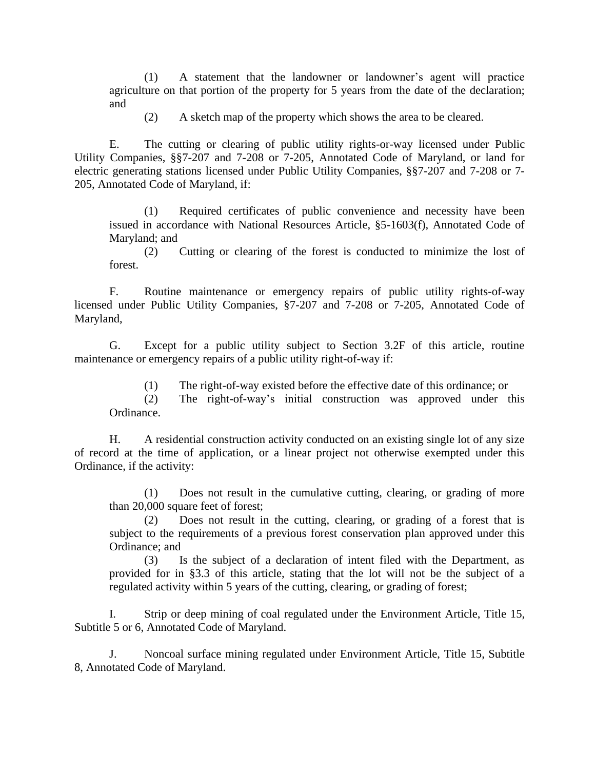(1) A statement that the landowner or landowner's agent will practice agriculture on that portion of the property for 5 years from the date of the declaration; and

(2) A sketch map of the property which shows the area to be cleared.

E. The cutting or clearing of public utility rights-or-way licensed under Public Utility Companies, §§7-207 and 7-208 or 7-205, Annotated Code of Maryland, or land for electric generating stations licensed under Public Utility Companies, §§7-207 and 7-208 or 7- 205, Annotated Code of Maryland, if:

(1) Required certificates of public convenience and necessity have been issued in accordance with National Resources Article, §5-1603(f), Annotated Code of Maryland; and

(2) Cutting or clearing of the forest is conducted to minimize the lost of forest.

F. Routine maintenance or emergency repairs of public utility rights-of-way licensed under Public Utility Companies, §7-207 and 7-208 or 7-205, Annotated Code of Maryland,

G. Except for a public utility subject to Section 3.2F of this article, routine maintenance or emergency repairs of a public utility right-of-way if:

(1) The right-of-way existed before the effective date of this ordinance; or

(2) The right-of-way's initial construction was approved under this Ordinance.

H. A residential construction activity conducted on an existing single lot of any size of record at the time of application, or a linear project not otherwise exempted under this Ordinance, if the activity:

(1) Does not result in the cumulative cutting, clearing, or grading of more than 20,000 square feet of forest;

(2) Does not result in the cutting, clearing, or grading of a forest that is subject to the requirements of a previous forest conservation plan approved under this Ordinance; and

(3) Is the subject of a declaration of intent filed with the Department, as provided for in §3.3 of this article, stating that the lot will not be the subject of a regulated activity within 5 years of the cutting, clearing, or grading of forest;

I. Strip or deep mining of coal regulated under the Environment Article, Title 15, Subtitle 5 or 6, Annotated Code of Maryland.

J. Noncoal surface mining regulated under Environment Article, Title 15, Subtitle 8, Annotated Code of Maryland.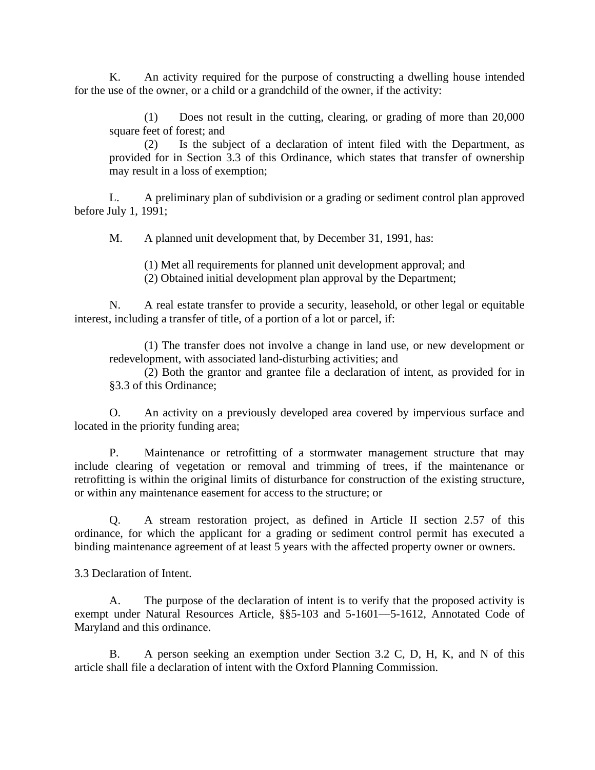K. An activity required for the purpose of constructing a dwelling house intended for the use of the owner, or a child or a grandchild of the owner, if the activity:

(1) Does not result in the cutting, clearing, or grading of more than 20,000 square feet of forest; and

(2) Is the subject of a declaration of intent filed with the Department, as provided for in Section 3.3 of this Ordinance, which states that transfer of ownership may result in a loss of exemption;

L. A preliminary plan of subdivision or a grading or sediment control plan approved before July 1, 1991;

M. A planned unit development that, by December 31, 1991, has:

(1) Met all requirements for planned unit development approval; and

(2) Obtained initial development plan approval by the Department;

N. A real estate transfer to provide a security, leasehold, or other legal or equitable interest, including a transfer of title, of a portion of a lot or parcel, if:

(1) The transfer does not involve a change in land use, or new development or redevelopment, with associated land-disturbing activities; and

(2) Both the grantor and grantee file a declaration of intent, as provided for in §3.3 of this Ordinance;

O. An activity on a previously developed area covered by impervious surface and located in the priority funding area;

P. Maintenance or retrofitting of a stormwater management structure that may include clearing of vegetation or removal and trimming of trees, if the maintenance or retrofitting is within the original limits of disturbance for construction of the existing structure, or within any maintenance easement for access to the structure; or

Q. A stream restoration project, as defined in Article II section 2.57 of this ordinance, for which the applicant for a grading or sediment control permit has executed a binding maintenance agreement of at least 5 years with the affected property owner or owners.

3.3 Declaration of Intent.

A. The purpose of the declaration of intent is to verify that the proposed activity is exempt under Natural Resources Article, §§5-103 and 5-1601—5-1612, Annotated Code of Maryland and this ordinance.

B. A person seeking an exemption under Section 3.2 C, D, H, K, and N of this article shall file a declaration of intent with the Oxford Planning Commission.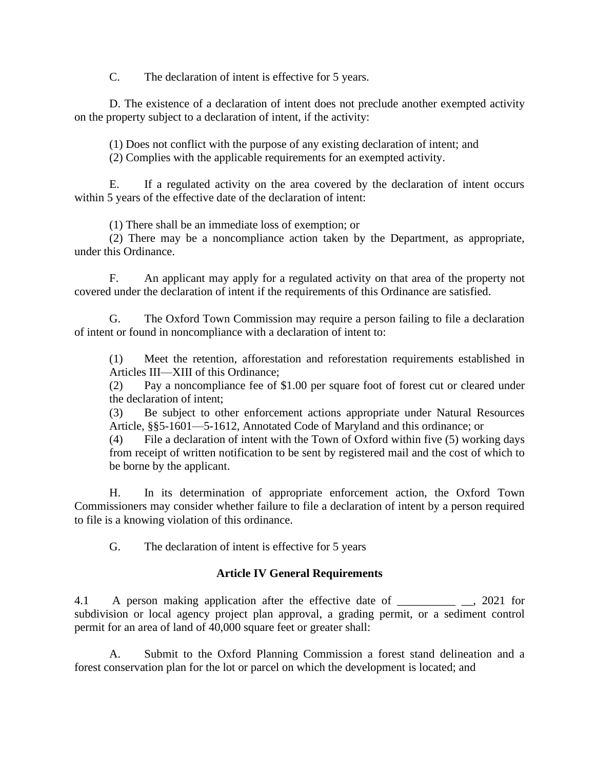C. The declaration of intent is effective for 5 years.

D. The existence of a declaration of intent does not preclude another exempted activity on the property subject to a declaration of intent, if the activity:

(1) Does not conflict with the purpose of any existing declaration of intent; and (2) Complies with the applicable requirements for an exempted activity.

E. If a regulated activity on the area covered by the declaration of intent occurs within 5 years of the effective date of the declaration of intent:

(1) There shall be an immediate loss of exemption; or

(2) There may be a noncompliance action taken by the Department, as appropriate, under this Ordinance.

F. An applicant may apply for a regulated activity on that area of the property not covered under the declaration of intent if the requirements of this Ordinance are satisfied.

G. The Oxford Town Commission may require a person failing to file a declaration of intent or found in noncompliance with a declaration of intent to:

(1) Meet the retention, afforestation and reforestation requirements established in Articles III—XIII of this Ordinance;

(2) Pay a noncompliance fee of \$1.00 per square foot of forest cut or cleared under the declaration of intent;

(3) Be subject to other enforcement actions appropriate under Natural Resources Article, §§5-1601—5-1612, Annotated Code of Maryland and this ordinance; or

(4) File a declaration of intent with the Town of Oxford within five (5) working days from receipt of written notification to be sent by registered mail and the cost of which to be borne by the applicant.

H. In its determination of appropriate enforcement action, the Oxford Town Commissioners may consider whether failure to file a declaration of intent by a person required to file is a knowing violation of this ordinance.

G. The declaration of intent is effective for 5 years

## **Article IV General Requirements**

4.1 A person making application after the effective date of \_\_\_\_\_\_\_\_\_\_ \_\_, 2021 for subdivision or local agency project plan approval, a grading permit, or a sediment control permit for an area of land of 40,000 square feet or greater shall:

A. Submit to the Oxford Planning Commission a forest stand delineation and a forest conservation plan for the lot or parcel on which the development is located; and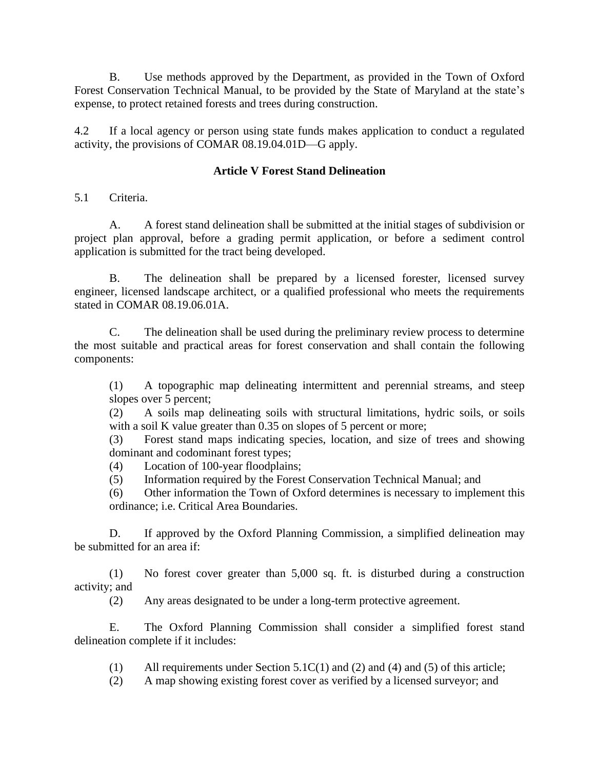B. Use methods approved by the Department, as provided in the Town of Oxford Forest Conservation Technical Manual, to be provided by the State of Maryland at the state's expense, to protect retained forests and trees during construction.

4.2 If a local agency or person using state funds makes application to conduct a regulated activity, the provisions of COMAR 08.19.04.01D—G apply.

# **Article V Forest Stand Delineation**

5.1 Criteria.

A. A forest stand delineation shall be submitted at the initial stages of subdivision or project plan approval, before a grading permit application, or before a sediment control application is submitted for the tract being developed.

B. The delineation shall be prepared by a licensed forester, licensed survey engineer, licensed landscape architect, or a qualified professional who meets the requirements stated in COMAR 08.19.06.01A.

C. The delineation shall be used during the preliminary review process to determine the most suitable and practical areas for forest conservation and shall contain the following components:

(1) A topographic map delineating intermittent and perennial streams, and steep slopes over 5 percent;

(2) A soils map delineating soils with structural limitations, hydric soils, or soils with a soil K value greater than 0.35 on slopes of 5 percent or more;

(3) Forest stand maps indicating species, location, and size of trees and showing dominant and codominant forest types;

(4) Location of 100-year floodplains;

(5) Information required by the Forest Conservation Technical Manual; and

(6) Other information the Town of Oxford determines is necessary to implement this ordinance; i.e. Critical Area Boundaries.

D. If approved by the Oxford Planning Commission, a simplified delineation may be submitted for an area if:

(1) No forest cover greater than 5,000 sq. ft. is disturbed during a construction activity; and

(2) Any areas designated to be under a long-term protective agreement.

E. The Oxford Planning Commission shall consider a simplified forest stand delineation complete if it includes:

(1) All requirements under Section 5.1C(1) and (2) and (4) and (5) of this article;

(2) A map showing existing forest cover as verified by a licensed surveyor; and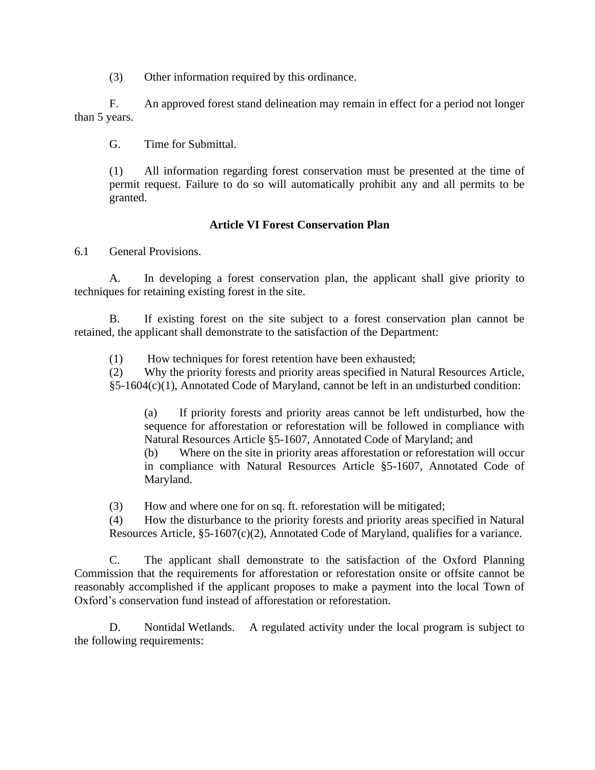(3) Other information required by this ordinance.

F. An approved forest stand delineation may remain in effect for a period not longer than 5 years.

G. Time for Submittal.

(1) All information regarding forest conservation must be presented at the time of permit request. Failure to do so will automatically prohibit any and all permits to be granted.

# **Article VI Forest Conservation Plan**

6.1 General Provisions.

A. In developing a forest conservation plan, the applicant shall give priority to techniques for retaining existing forest in the site.

B. If existing forest on the site subject to a forest conservation plan cannot be retained, the applicant shall demonstrate to the satisfaction of the Department:

(1) How techniques for forest retention have been exhausted;

(2) Why the priority forests and priority areas specified in Natural Resources Article, §5-1604(c)(1), Annotated Code of Maryland, cannot be left in an undisturbed condition:

(a) If priority forests and priority areas cannot be left undisturbed, how the sequence for afforestation or reforestation will be followed in compliance with Natural Resources Article §5-1607, Annotated Code of Maryland; and (b) Where on the site in priority areas afforestation or reforestation will occur in compliance with Natural Resources Article §5-1607, Annotated Code of Maryland.

(3) How and where one for on sq. ft. reforestation will be mitigated;

(4) How the disturbance to the priority forests and priority areas specified in Natural Resources Article, §5-1607(c)(2), Annotated Code of Maryland, qualifies for a variance.

C. The applicant shall demonstrate to the satisfaction of the Oxford Planning Commission that the requirements for afforestation or reforestation onsite or offsite cannot be reasonably accomplished if the applicant proposes to make a payment into the local Town of Oxford's conservation fund instead of afforestation or reforestation.

D. Nontidal Wetlands. A regulated activity under the local program is subject to the following requirements: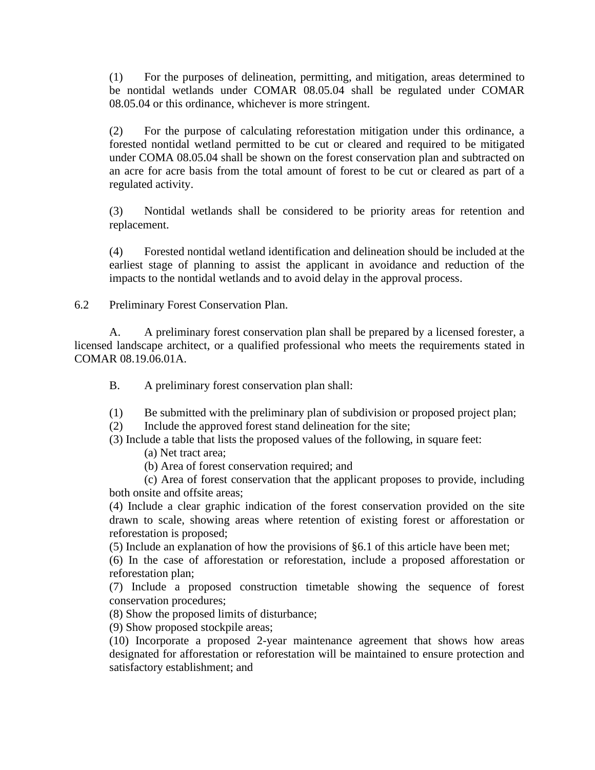(1) For the purposes of delineation, permitting, and mitigation, areas determined to be nontidal wetlands under COMAR 08.05.04 shall be regulated under COMAR 08.05.04 or this ordinance, whichever is more stringent.

(2) For the purpose of calculating reforestation mitigation under this ordinance, a forested nontidal wetland permitted to be cut or cleared and required to be mitigated under COMA 08.05.04 shall be shown on the forest conservation plan and subtracted on an acre for acre basis from the total amount of forest to be cut or cleared as part of a regulated activity.

(3) Nontidal wetlands shall be considered to be priority areas for retention and replacement.

(4) Forested nontidal wetland identification and delineation should be included at the earliest stage of planning to assist the applicant in avoidance and reduction of the impacts to the nontidal wetlands and to avoid delay in the approval process.

6.2 Preliminary Forest Conservation Plan.

A. A preliminary forest conservation plan shall be prepared by a licensed forester, a licensed landscape architect, or a qualified professional who meets the requirements stated in COMAR 08.19.06.01A.

B. A preliminary forest conservation plan shall:

(1) Be submitted with the preliminary plan of subdivision or proposed project plan;

(2) Include the approved forest stand delineation for the site;

(3) Include a table that lists the proposed values of the following, in square feet:

(a) Net tract area;

(b) Area of forest conservation required; and

(c) Area of forest conservation that the applicant proposes to provide, including both onsite and offsite areas;

(4) Include a clear graphic indication of the forest conservation provided on the site drawn to scale, showing areas where retention of existing forest or afforestation or reforestation is proposed;

(5) Include an explanation of how the provisions of §6.1 of this article have been met;

(6) In the case of afforestation or reforestation, include a proposed afforestation or reforestation plan;

(7) Include a proposed construction timetable showing the sequence of forest conservation procedures;

(8) Show the proposed limits of disturbance;

(9) Show proposed stockpile areas;

(10) Incorporate a proposed 2-year maintenance agreement that shows how areas designated for afforestation or reforestation will be maintained to ensure protection and satisfactory establishment; and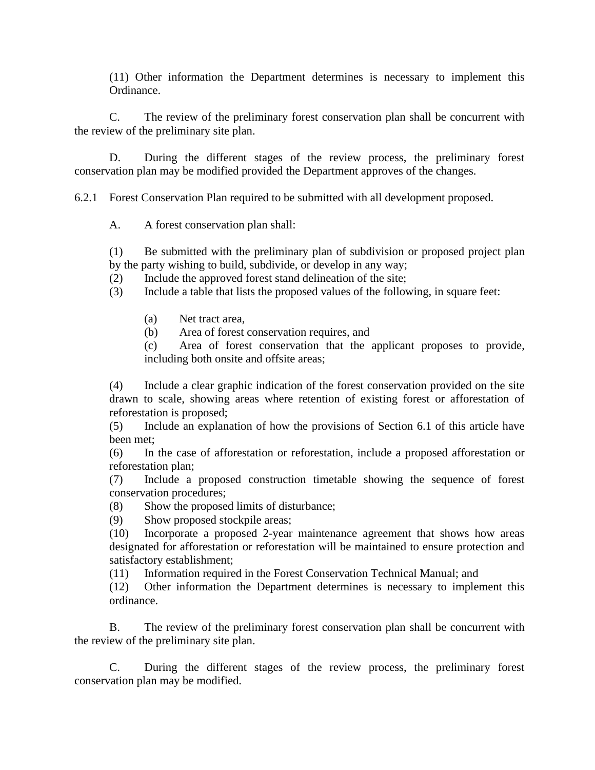(11) Other information the Department determines is necessary to implement this Ordinance.

C. The review of the preliminary forest conservation plan shall be concurrent with the review of the preliminary site plan.

D. During the different stages of the review process, the preliminary forest conservation plan may be modified provided the Department approves of the changes.

6.2.1 Forest Conservation Plan required to be submitted with all development proposed.

A. A forest conservation plan shall:

(1) Be submitted with the preliminary plan of subdivision or proposed project plan by the party wishing to build, subdivide, or develop in any way;

(2) Include the approved forest stand delineation of the site;

(3) Include a table that lists the proposed values of the following, in square feet:

(a) Net tract area,

(b) Area of forest conservation requires, and

(c) Area of forest conservation that the applicant proposes to provide, including both onsite and offsite areas;

(4) Include a clear graphic indication of the forest conservation provided on the site drawn to scale, showing areas where retention of existing forest or afforestation of reforestation is proposed;

(5) Include an explanation of how the provisions of Section 6.1 of this article have been met;

(6) In the case of afforestation or reforestation, include a proposed afforestation or reforestation plan;

(7) Include a proposed construction timetable showing the sequence of forest conservation procedures;

(8) Show the proposed limits of disturbance;

(9) Show proposed stockpile areas;

(10) Incorporate a proposed 2-year maintenance agreement that shows how areas designated for afforestation or reforestation will be maintained to ensure protection and satisfactory establishment;

(11) Information required in the Forest Conservation Technical Manual; and

(12) Other information the Department determines is necessary to implement this ordinance.

B. The review of the preliminary forest conservation plan shall be concurrent with the review of the preliminary site plan.

C. During the different stages of the review process, the preliminary forest conservation plan may be modified.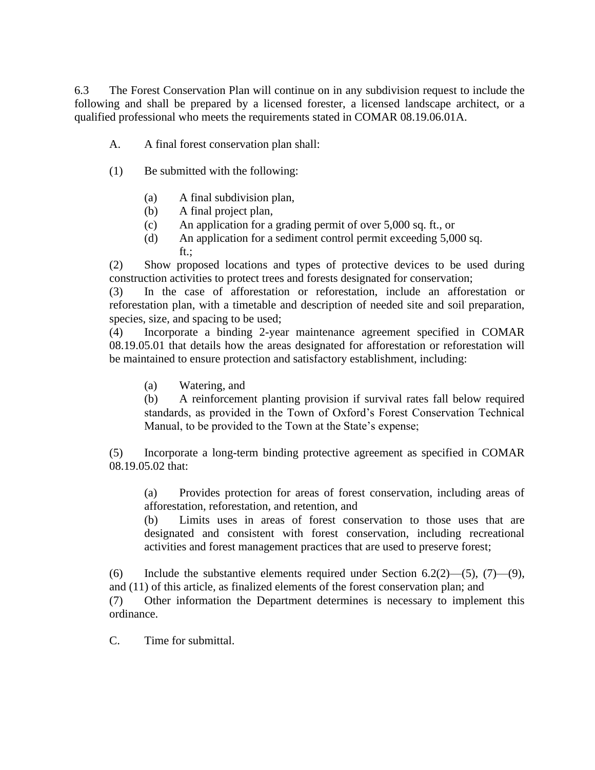6.3 The Forest Conservation Plan will continue on in any subdivision request to include the following and shall be prepared by a licensed forester, a licensed landscape architect, or a qualified professional who meets the requirements stated in COMAR 08.19.06.01A.

- A. A final forest conservation plan shall:
- (1) Be submitted with the following:
	- (a) A final subdivision plan,
	- (b) A final project plan,
	- (c) An application for a grading permit of over 5,000 sq. ft., or
	- (d) An application for a sediment control permit exceeding 5,000 sq. ft.;

(2) Show proposed locations and types of protective devices to be used during construction activities to protect trees and forests designated for conservation;

(3) In the case of afforestation or reforestation, include an afforestation or reforestation plan, with a timetable and description of needed site and soil preparation, species, size, and spacing to be used;

(4) Incorporate a binding 2-year maintenance agreement specified in COMAR 08.19.05.01 that details how the areas designated for afforestation or reforestation will be maintained to ensure protection and satisfactory establishment, including:

(a) Watering, and

(b) A reinforcement planting provision if survival rates fall below required standards, as provided in the Town of Oxford's Forest Conservation Technical Manual, to be provided to the Town at the State's expense;

(5) Incorporate a long-term binding protective agreement as specified in COMAR 08.19.05.02 that:

(a) Provides protection for areas of forest conservation, including areas of afforestation, reforestation, and retention, and

(b) Limits uses in areas of forest conservation to those uses that are designated and consistent with forest conservation, including recreational activities and forest management practices that are used to preserve forest;

(6) Include the substantive elements required under Section 6.2(2)—(5), (7)—(9), and (11) of this article, as finalized elements of the forest conservation plan; and

(7) Other information the Department determines is necessary to implement this ordinance.

C. Time for submittal.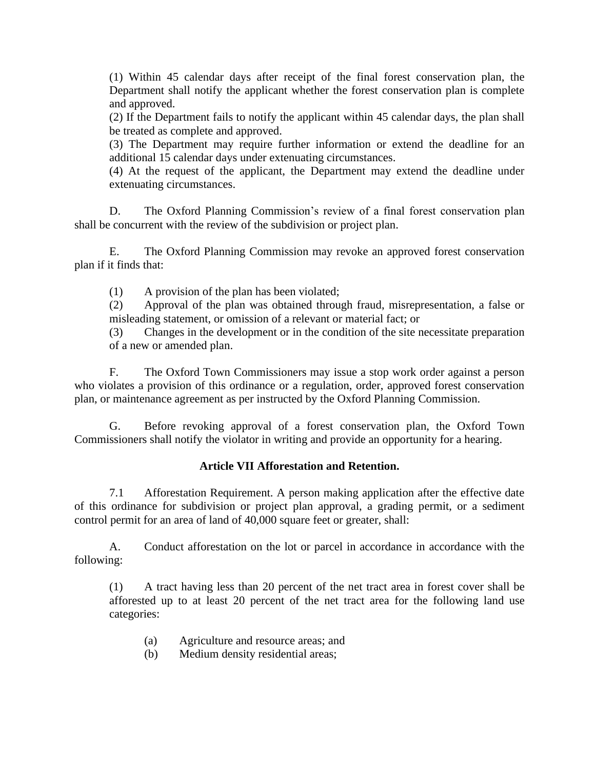(1) Within 45 calendar days after receipt of the final forest conservation plan, the Department shall notify the applicant whether the forest conservation plan is complete and approved.

(2) If the Department fails to notify the applicant within 45 calendar days, the plan shall be treated as complete and approved.

(3) The Department may require further information or extend the deadline for an additional 15 calendar days under extenuating circumstances.

(4) At the request of the applicant, the Department may extend the deadline under extenuating circumstances.

D. The Oxford Planning Commission's review of a final forest conservation plan shall be concurrent with the review of the subdivision or project plan.

E. The Oxford Planning Commission may revoke an approved forest conservation plan if it finds that:

(1) A provision of the plan has been violated;

(2) Approval of the plan was obtained through fraud, misrepresentation, a false or misleading statement, or omission of a relevant or material fact; or

(3) Changes in the development or in the condition of the site necessitate preparation of a new or amended plan.

F. The Oxford Town Commissioners may issue a stop work order against a person who violates a provision of this ordinance or a regulation, order, approved forest conservation plan, or maintenance agreement as per instructed by the Oxford Planning Commission.

G. Before revoking approval of a forest conservation plan, the Oxford Town Commissioners shall notify the violator in writing and provide an opportunity for a hearing.

# **Article VII Afforestation and Retention.**

7.1 Afforestation Requirement. A person making application after the effective date of this ordinance for subdivision or project plan approval, a grading permit, or a sediment control permit for an area of land of 40,000 square feet or greater, shall:

A. Conduct afforestation on the lot or parcel in accordance in accordance with the following:

(1) A tract having less than 20 percent of the net tract area in forest cover shall be afforested up to at least 20 percent of the net tract area for the following land use categories:

- (a) Agriculture and resource areas; and
- (b) Medium density residential areas;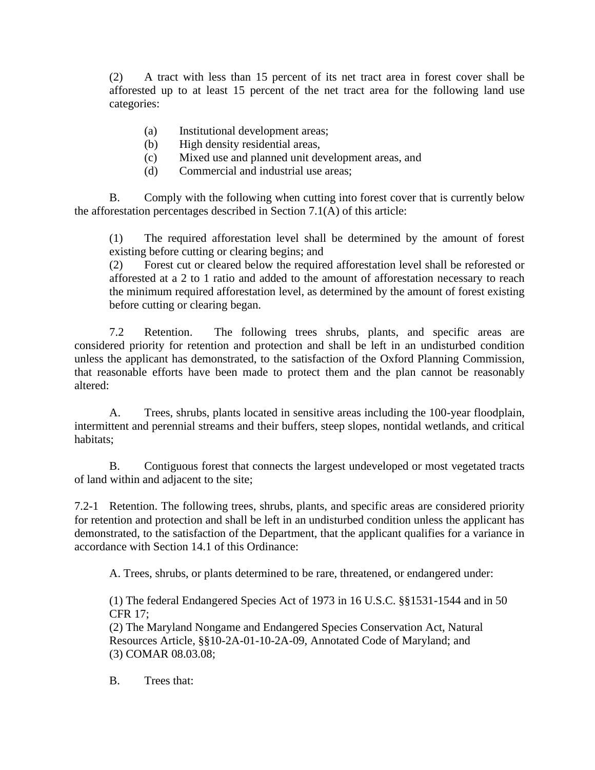(2) A tract with less than 15 percent of its net tract area in forest cover shall be afforested up to at least 15 percent of the net tract area for the following land use categories:

- (a) Institutional development areas;
- (b) High density residential areas,
- (c) Mixed use and planned unit development areas, and
- (d) Commercial and industrial use areas;

B. Comply with the following when cutting into forest cover that is currently below the afforestation percentages described in Section 7.1(A) of this article:

(1) The required afforestation level shall be determined by the amount of forest existing before cutting or clearing begins; and

(2) Forest cut or cleared below the required afforestation level shall be reforested or afforested at a 2 to 1 ratio and added to the amount of afforestation necessary to reach the minimum required afforestation level, as determined by the amount of forest existing before cutting or clearing began.

7.2 Retention. The following trees shrubs, plants, and specific areas are considered priority for retention and protection and shall be left in an undisturbed condition unless the applicant has demonstrated, to the satisfaction of the Oxford Planning Commission, that reasonable efforts have been made to protect them and the plan cannot be reasonably altered:

A. Trees, shrubs, plants located in sensitive areas including the 100-year floodplain, intermittent and perennial streams and their buffers, steep slopes, nontidal wetlands, and critical habitats;

B. Contiguous forest that connects the largest undeveloped or most vegetated tracts of land within and adjacent to the site;

7.2-1 Retention. The following trees, shrubs, plants, and specific areas are considered priority for retention and protection and shall be left in an undisturbed condition unless the applicant has demonstrated, to the satisfaction of the Department, that the applicant qualifies for a variance in accordance with Section 14.1 of this Ordinance:

A. Trees, shrubs, or plants determined to be rare, threatened, or endangered under:

(1) The federal Endangered Species Act of 1973 in 16 U.S.C. §§1531-1544 and in 50 CFR 17;

(2) The Maryland Nongame and Endangered Species Conservation Act, Natural Resources Article, §§10-2A-01-10-2A-09, Annotated Code of Maryland; and (3) COMAR 08.03.08;

B. Trees that: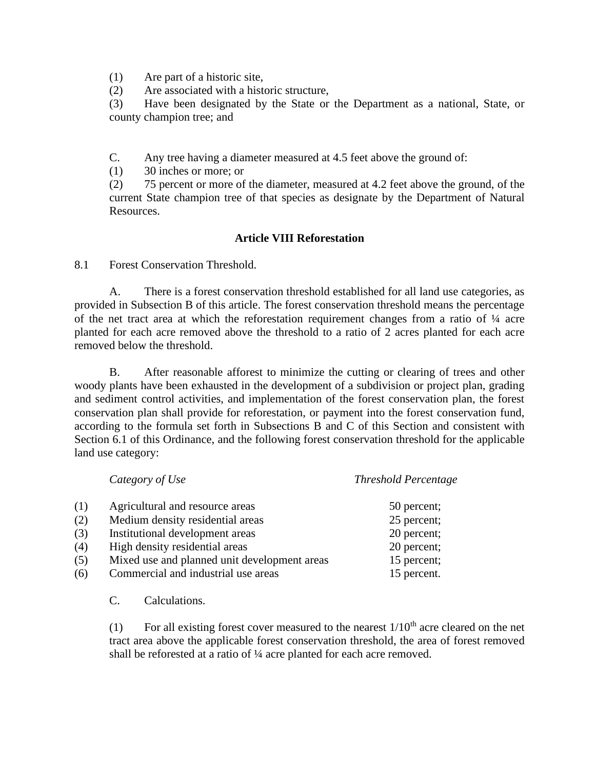(1) Are part of a historic site,

(2) Are associated with a historic structure,

(3) Have been designated by the State or the Department as a national, State, or county champion tree; and

C. Any tree having a diameter measured at 4.5 feet above the ground of:

(1) 30 inches or more; or

(2) 75 percent or more of the diameter, measured at 4.2 feet above the ground, of the current State champion tree of that species as designate by the Department of Natural Resources.

# **Article VIII Reforestation**

8.1 Forest Conservation Threshold.

A. There is a forest conservation threshold established for all land use categories, as provided in Subsection B of this article. The forest conservation threshold means the percentage of the net tract area at which the reforestation requirement changes from a ratio of ¼ acre planted for each acre removed above the threshold to a ratio of 2 acres planted for each acre removed below the threshold.

B. After reasonable afforest to minimize the cutting or clearing of trees and other woody plants have been exhausted in the development of a subdivision or project plan, grading and sediment control activities, and implementation of the forest conservation plan, the forest conservation plan shall provide for reforestation, or payment into the forest conservation fund, according to the formula set forth in Subsections B and C of this Section and consistent with Section 6.1 of this Ordinance, and the following forest conservation threshold for the applicable land use category:

|     | Category of Use                              | <b>Threshold Percentage</b> |
|-----|----------------------------------------------|-----------------------------|
| (1) | Agricultural and resource areas              | 50 percent;                 |
| (2) | Medium density residential areas             | 25 percent;                 |
| (3) | Institutional development areas              | 20 percent;                 |
| (4) | High density residential areas               | 20 percent;                 |
| (5) | Mixed use and planned unit development areas | 15 percent;                 |
| (6) | Commercial and industrial use areas          | 15 percent.                 |
|     |                                              |                             |

C. Calculations.

(1) For all existing forest cover measured to the nearest  $1/10^{th}$  acre cleared on the net tract area above the applicable forest conservation threshold, the area of forest removed shall be reforested at a ratio of ¼ acre planted for each acre removed.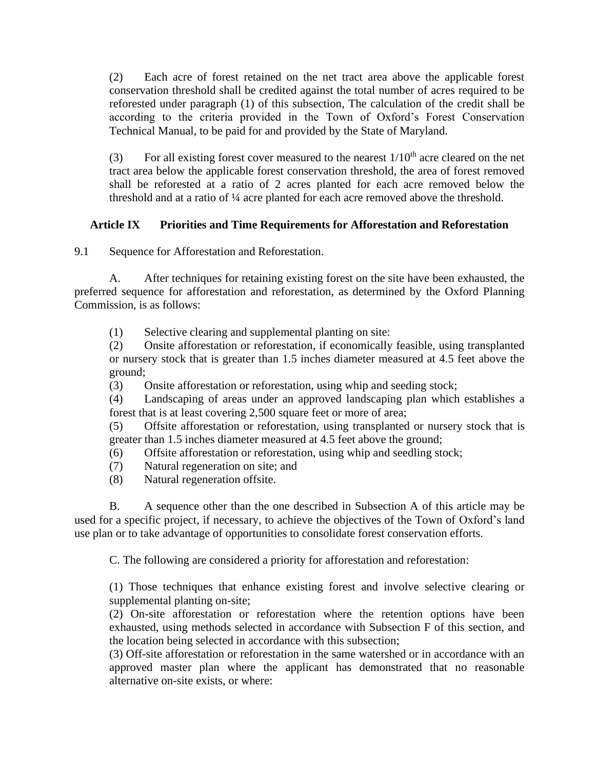(2) Each acre of forest retained on the net tract area above the applicable forest conservation threshold shall be credited against the total number of acres required to be reforested under paragraph (1) of this subsection, The calculation of the credit shall be according to the criteria provided in the Town of Oxford's Forest Conservation Technical Manual, to be paid for and provided by the State of Maryland.

(3) For all existing forest cover measured to the nearest  $1/10^{th}$  acre cleared on the net tract area below the applicable forest conservation threshold, the area of forest removed shall be reforested at a ratio of 2 acres planted for each acre removed below the threshold and at a ratio of ¼ acre planted for each acre removed above the threshold.

# **Article IX Priorities and Time Requirements for Afforestation and Reforestation**

9.1 Sequence for Afforestation and Reforestation.

A. After techniques for retaining existing forest on the site have been exhausted, the preferred sequence for afforestation and reforestation, as determined by the Oxford Planning Commission, is as follows:

(1) Selective clearing and supplemental planting on site:

(2) Onsite afforestation or reforestation, if economically feasible, using transplanted or nursery stock that is greater than 1.5 inches diameter measured at 4.5 feet above the ground;

(3) Onsite afforestation or reforestation, using whip and seeding stock;

(4) Landscaping of areas under an approved landscaping plan which establishes a forest that is at least covering 2,500 square feet or more of area;

(5) Offsite afforestation or reforestation, using transplanted or nursery stock that is greater than 1.5 inches diameter measured at 4.5 feet above the ground;

(6) Offsite afforestation or reforestation, using whip and seedling stock;

- (7) Natural regeneration on site; and
- (8) Natural regeneration offsite.

B. A sequence other than the one described in Subsection A of this article may be used for a specific project, if necessary, to achieve the objectives of the Town of Oxford's land use plan or to take advantage of opportunities to consolidate forest conservation efforts.

C. The following are considered a priority for afforestation and reforestation:

(1) Those techniques that enhance existing forest and involve selective clearing or supplemental planting on-site;

(2) On-site afforestation or reforestation where the retention options have been exhausted, using methods selected in accordance with Subsection F of this section, and the location being selected in accordance with this subsection;

(3) Off-site afforestation or reforestation in the same watershed or in accordance with an approved master plan where the applicant has demonstrated that no reasonable alternative on-site exists, or where: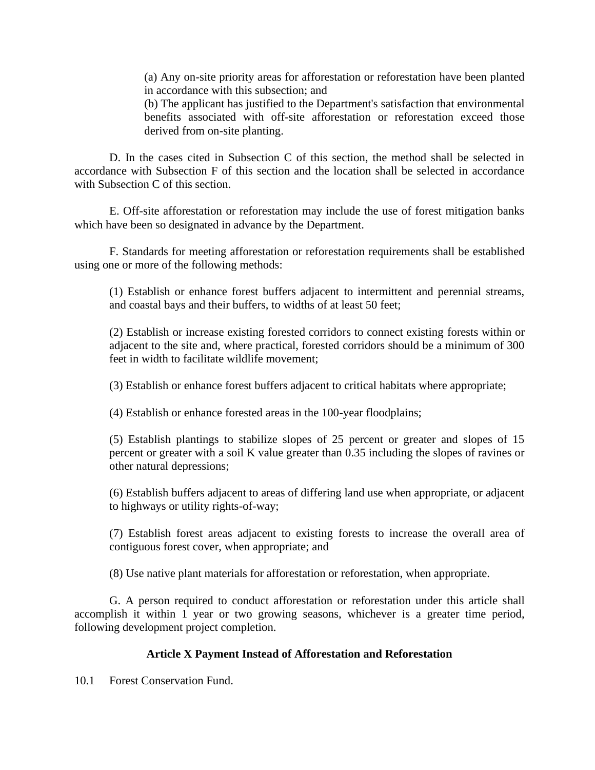(a) Any on-site priority areas for afforestation or reforestation have been planted in accordance with this subsection; and

(b) The applicant has justified to the Department's satisfaction that environmental benefits associated with off-site afforestation or reforestation exceed those derived from on-site planting.

D. In the cases cited in Subsection C of this section, the method shall be selected in accordance with Subsection F of this section and the location shall be selected in accordance with Subsection C of this section.

E. Off-site afforestation or reforestation may include the use of forest mitigation banks which have been so designated in advance by the Department.

F. Standards for meeting afforestation or reforestation requirements shall be established using one or more of the following methods:

(1) Establish or enhance forest buffers adjacent to intermittent and perennial streams, and coastal bays and their buffers, to widths of at least 50 feet;

(2) Establish or increase existing forested corridors to connect existing forests within or adjacent to the site and, where practical, forested corridors should be a minimum of 300 feet in width to facilitate wildlife movement;

(3) Establish or enhance forest buffers adjacent to critical habitats where appropriate;

(4) Establish or enhance forested areas in the 100-year floodplains;

(5) Establish plantings to stabilize slopes of 25 percent or greater and slopes of 15 percent or greater with a soil K value greater than 0.35 including the slopes of ravines or other natural depressions;

(6) Establish buffers adjacent to areas of differing land use when appropriate, or adjacent to highways or utility rights-of-way;

(7) Establish forest areas adjacent to existing forests to increase the overall area of contiguous forest cover, when appropriate; and

(8) Use native plant materials for afforestation or reforestation, when appropriate.

G. A person required to conduct afforestation or reforestation under this article shall accomplish it within 1 year or two growing seasons, whichever is a greater time period, following development project completion.

## **Article X Payment Instead of Afforestation and Reforestation**

10.1 Forest Conservation Fund.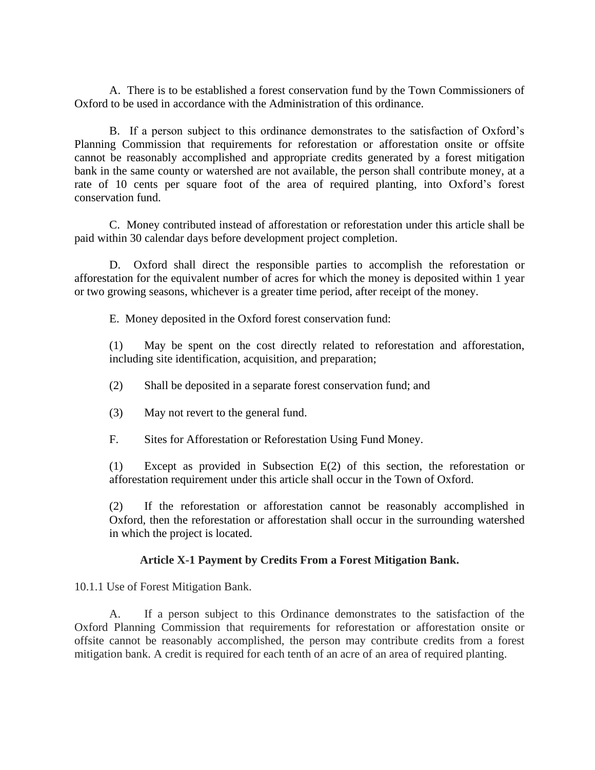A. There is to be established a forest conservation fund by the Town Commissioners of Oxford to be used in accordance with the Administration of this ordinance.

B. If a person subject to this ordinance demonstrates to the satisfaction of Oxford's Planning Commission that requirements for reforestation or afforestation onsite or offsite cannot be reasonably accomplished and appropriate credits generated by a forest mitigation bank in the same county or watershed are not available, the person shall contribute money, at a rate of 10 cents per square foot of the area of required planting, into Oxford's forest conservation fund.

C. Money contributed instead of afforestation or reforestation under this article shall be paid within 30 calendar days before development project completion.

D. Oxford shall direct the responsible parties to accomplish the reforestation or afforestation for the equivalent number of acres for which the money is deposited within 1 year or two growing seasons, whichever is a greater time period, after receipt of the money.

E. Money deposited in the Oxford forest conservation fund:

(1) May be spent on the cost directly related to reforestation and afforestation, including site identification, acquisition, and preparation;

- (2) Shall be deposited in a separate forest conservation fund; and
- (3) May not revert to the general fund.
- F. Sites for Afforestation or Reforestation Using Fund Money.

(1) Except as provided in Subsection E(2) of this section, the reforestation or afforestation requirement under this article shall occur in the Town of Oxford.

(2) If the reforestation or afforestation cannot be reasonably accomplished in Oxford, then the reforestation or afforestation shall occur in the surrounding watershed in which the project is located.

### **Article X-1 Payment by Credits From a Forest Mitigation Bank.**

10.1.1 Use of Forest Mitigation Bank.

A. If a person subject to this Ordinance demonstrates to the satisfaction of the Oxford Planning Commission that requirements for reforestation or afforestation onsite or offsite cannot be reasonably accomplished, the person may contribute credits from a forest mitigation bank. A credit is required for each tenth of an acre of an area of required planting.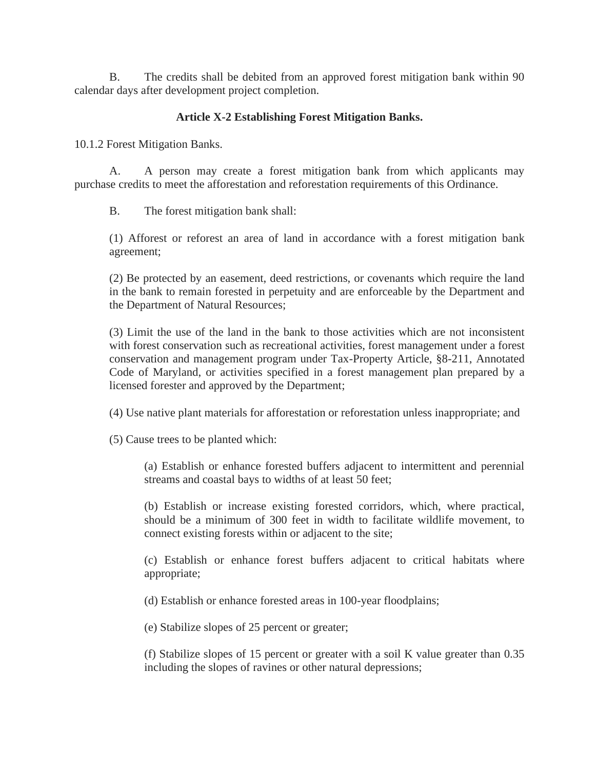B. The credits shall be debited from an approved forest mitigation bank within 90 calendar days after development project completion.

# **Article X-2 Establishing Forest Mitigation Banks.**

10.1.2 Forest Mitigation Banks.

A. A person may create a forest mitigation bank from which applicants may purchase credits to meet the afforestation and reforestation requirements of this Ordinance.

B. The forest mitigation bank shall:

(1) Afforest or reforest an area of land in accordance with a forest mitigation bank agreement;

(2) Be protected by an easement, deed restrictions, or covenants which require the land in the bank to remain forested in perpetuity and are enforceable by the Department and the Department of Natural Resources;

(3) Limit the use of the land in the bank to those activities which are not inconsistent with forest conservation such as recreational activities, forest management under a forest conservation and management program under Tax-Property Article, §8-211, Annotated Code of Maryland, or activities specified in a forest management plan prepared by a licensed forester and approved by the Department;

(4) Use native plant materials for afforestation or reforestation unless inappropriate; and

(5) Cause trees to be planted which:

(a) Establish or enhance forested buffers adjacent to intermittent and perennial streams and coastal bays to widths of at least 50 feet;

(b) Establish or increase existing forested corridors, which, where practical, should be a minimum of 300 feet in width to facilitate wildlife movement, to connect existing forests within or adjacent to the site;

(c) Establish or enhance forest buffers adjacent to critical habitats where appropriate;

(d) Establish or enhance forested areas in 100-year floodplains;

(e) Stabilize slopes of 25 percent or greater;

(f) Stabilize slopes of 15 percent or greater with a soil K value greater than 0.35 including the slopes of ravines or other natural depressions;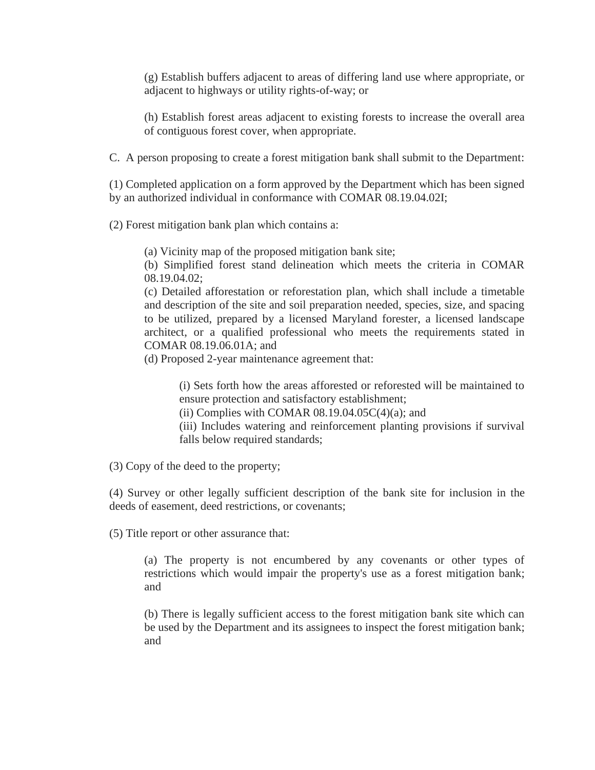(g) Establish buffers adjacent to areas of differing land use where appropriate, or adjacent to highways or utility rights-of-way; or

(h) Establish forest areas adjacent to existing forests to increase the overall area of contiguous forest cover, when appropriate.

C. A person proposing to create a forest mitigation bank shall submit to the Department:

(1) Completed application on a form approved by the Department which has been signed by an authorized individual in conformance with COMAR 08.19.04.02I;

(2) Forest mitigation bank plan which contains a:

(a) Vicinity map of the proposed mitigation bank site;

(b) Simplified forest stand delineation which meets the criteria in COMAR 08.19.04.02;

(c) Detailed afforestation or reforestation plan, which shall include a timetable and description of the site and soil preparation needed, species, size, and spacing to be utilized, prepared by a licensed Maryland forester, a licensed landscape architect, or a qualified professional who meets the requirements stated in COMAR 08.19.06.01A; and

(d) Proposed 2-year maintenance agreement that:

(i) Sets forth how the areas afforested or reforested will be maintained to ensure protection and satisfactory establishment;

(ii) Complies with COMAR  $08.19.04.05C(4)(a)$ ; and

(iii) Includes watering and reinforcement planting provisions if survival falls below required standards:

(3) Copy of the deed to the property;

(4) Survey or other legally sufficient description of the bank site for inclusion in the deeds of easement, deed restrictions, or covenants;

(5) Title report or other assurance that:

(a) The property is not encumbered by any covenants or other types of restrictions which would impair the property's use as a forest mitigation bank; and

(b) There is legally sufficient access to the forest mitigation bank site which can be used by the Department and its assignees to inspect the forest mitigation bank; and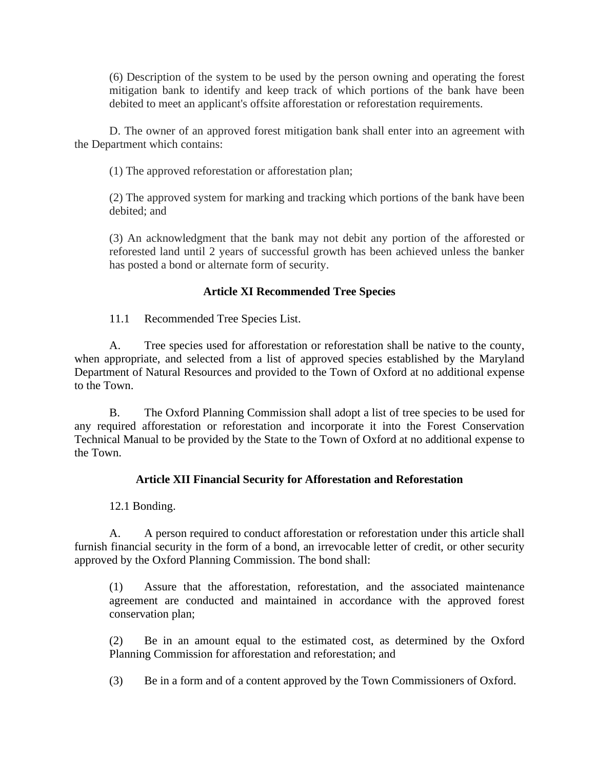(6) Description of the system to be used by the person owning and operating the forest mitigation bank to identify and keep track of which portions of the bank have been debited to meet an applicant's offsite afforestation or reforestation requirements.

D. The owner of an approved forest mitigation bank shall enter into an agreement with the Department which contains:

(1) The approved reforestation or afforestation plan;

(2) The approved system for marking and tracking which portions of the bank have been debited; and

(3) An acknowledgment that the bank may not debit any portion of the afforested or reforested land until 2 years of successful growth has been achieved unless the banker has posted a bond or alternate form of security.

# **Article XI Recommended Tree Species**

11.1 Recommended Tree Species List.

A. Tree species used for afforestation or reforestation shall be native to the county, when appropriate, and selected from a list of approved species established by the Maryland Department of Natural Resources and provided to the Town of Oxford at no additional expense to the Town.

B. The Oxford Planning Commission shall adopt a list of tree species to be used for any required afforestation or reforestation and incorporate it into the Forest Conservation Technical Manual to be provided by the State to the Town of Oxford at no additional expense to the Town.

# **Article XII Financial Security for Afforestation and Reforestation**

12.1 Bonding.

A. A person required to conduct afforestation or reforestation under this article shall furnish financial security in the form of a bond, an irrevocable letter of credit, or other security approved by the Oxford Planning Commission. The bond shall:

(1) Assure that the afforestation, reforestation, and the associated maintenance agreement are conducted and maintained in accordance with the approved forest conservation plan;

(2) Be in an amount equal to the estimated cost, as determined by the Oxford Planning Commission for afforestation and reforestation; and

(3) Be in a form and of a content approved by the Town Commissioners of Oxford.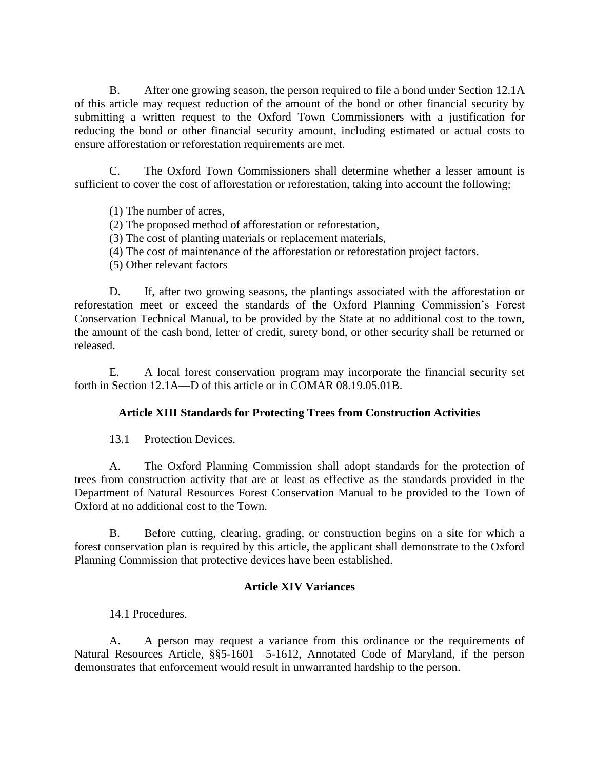B. After one growing season, the person required to file a bond under Section 12.1A of this article may request reduction of the amount of the bond or other financial security by submitting a written request to the Oxford Town Commissioners with a justification for reducing the bond or other financial security amount, including estimated or actual costs to ensure afforestation or reforestation requirements are met.

C. The Oxford Town Commissioners shall determine whether a lesser amount is sufficient to cover the cost of afforestation or reforestation, taking into account the following;

(1) The number of acres,

## (2) The proposed method of afforestation or reforestation,

- (3) The cost of planting materials or replacement materials,
- (4) The cost of maintenance of the afforestation or reforestation project factors.
- (5) Other relevant factors

D. If, after two growing seasons, the plantings associated with the afforestation or reforestation meet or exceed the standards of the Oxford Planning Commission's Forest Conservation Technical Manual, to be provided by the State at no additional cost to the town, the amount of the cash bond, letter of credit, surety bond, or other security shall be returned or released.

E. A local forest conservation program may incorporate the financial security set forth in Section 12.1A—D of this article or in COMAR 08.19.05.01B.

## **Article XIII Standards for Protecting Trees from Construction Activities**

13.1 Protection Devices.

A. The Oxford Planning Commission shall adopt standards for the protection of trees from construction activity that are at least as effective as the standards provided in the Department of Natural Resources Forest Conservation Manual to be provided to the Town of Oxford at no additional cost to the Town.

B. Before cutting, clearing, grading, or construction begins on a site for which a forest conservation plan is required by this article, the applicant shall demonstrate to the Oxford Planning Commission that protective devices have been established.

## **Article XIV Variances**

14.1 Procedures.

A. A person may request a variance from this ordinance or the requirements of Natural Resources Article, §§5-1601—5-1612, Annotated Code of Maryland, if the person demonstrates that enforcement would result in unwarranted hardship to the person.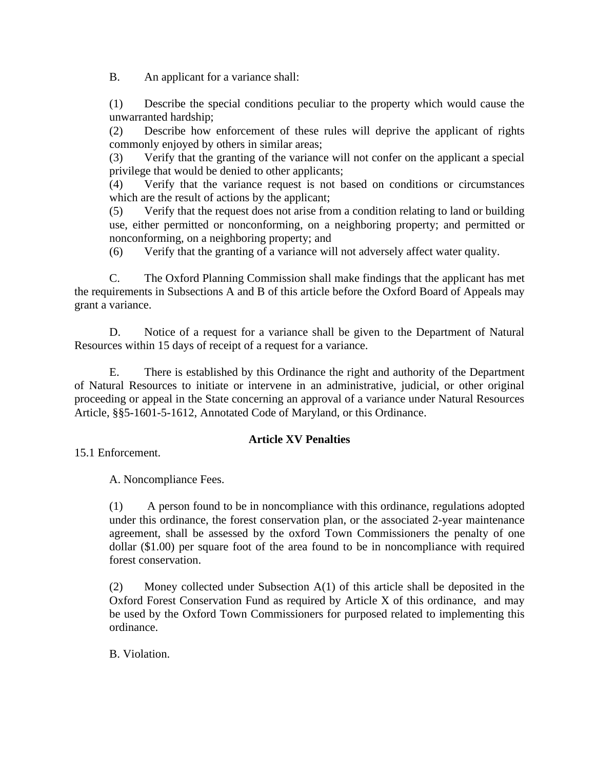B. An applicant for a variance shall:

(1) Describe the special conditions peculiar to the property which would cause the unwarranted hardship;

(2) Describe how enforcement of these rules will deprive the applicant of rights commonly enjoyed by others in similar areas;

(3) Verify that the granting of the variance will not confer on the applicant a special privilege that would be denied to other applicants;

(4) Verify that the variance request is not based on conditions or circumstances which are the result of actions by the applicant;

(5) Verify that the request does not arise from a condition relating to land or building use, either permitted or nonconforming, on a neighboring property; and permitted or nonconforming, on a neighboring property; and

(6) Verify that the granting of a variance will not adversely affect water quality.

C. The Oxford Planning Commission shall make findings that the applicant has met the requirements in Subsections A and B of this article before the Oxford Board of Appeals may grant a variance.

D. Notice of a request for a variance shall be given to the Department of Natural Resources within 15 days of receipt of a request for a variance.

E. There is established by this Ordinance the right and authority of the Department of Natural Resources to initiate or intervene in an administrative, judicial, or other original proceeding or appeal in the State concerning an approval of a variance under Natural Resources Article, §§5-1601-5-1612, Annotated Code of Maryland, or this Ordinance.

# **Article XV Penalties**

15.1 Enforcement.

A. Noncompliance Fees.

(1) A person found to be in noncompliance with this ordinance, regulations adopted under this ordinance, the forest conservation plan, or the associated 2-year maintenance agreement, shall be assessed by the oxford Town Commissioners the penalty of one dollar (\$1.00) per square foot of the area found to be in noncompliance with required forest conservation.

(2) Money collected under Subsection A(1) of this article shall be deposited in the Oxford Forest Conservation Fund as required by Article X of this ordinance, and may be used by the Oxford Town Commissioners for purposed related to implementing this ordinance.

B. Violation.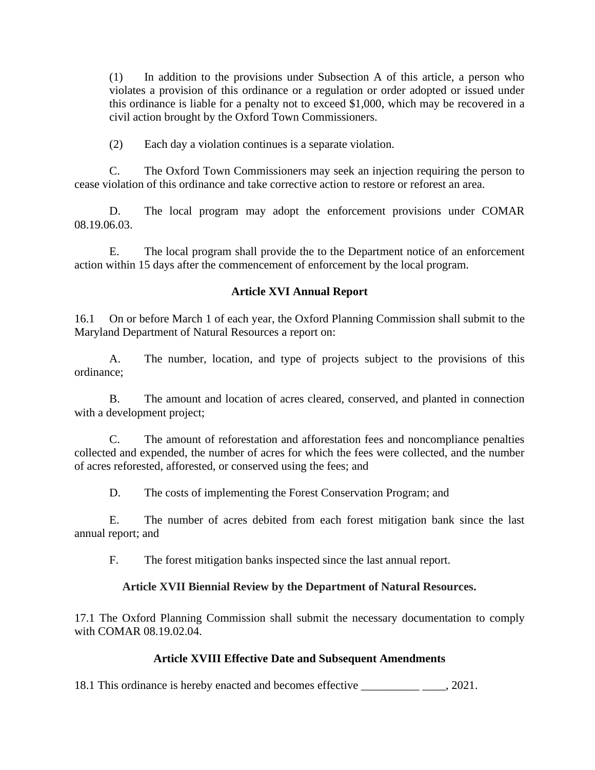(1) In addition to the provisions under Subsection A of this article, a person who violates a provision of this ordinance or a regulation or order adopted or issued under this ordinance is liable for a penalty not to exceed \$1,000, which may be recovered in a civil action brought by the Oxford Town Commissioners.

(2) Each day a violation continues is a separate violation.

C. The Oxford Town Commissioners may seek an injection requiring the person to cease violation of this ordinance and take corrective action to restore or reforest an area.

D. The local program may adopt the enforcement provisions under COMAR 08.19.06.03.

E. The local program shall provide the to the Department notice of an enforcement action within 15 days after the commencement of enforcement by the local program.

## **Article XVI Annual Report**

16.1 On or before March 1 of each year, the Oxford Planning Commission shall submit to the Maryland Department of Natural Resources a report on:

A. The number, location, and type of projects subject to the provisions of this ordinance;

B. The amount and location of acres cleared, conserved, and planted in connection with a development project;

C. The amount of reforestation and afforestation fees and noncompliance penalties collected and expended, the number of acres for which the fees were collected, and the number of acres reforested, afforested, or conserved using the fees; and

D. The costs of implementing the Forest Conservation Program; and

E. The number of acres debited from each forest mitigation bank since the last annual report; and

F. The forest mitigation banks inspected since the last annual report.

## **Article XVII Biennial Review by the Department of Natural Resources.**

17.1 The Oxford Planning Commission shall submit the necessary documentation to comply with COMAR 08.19.02.04.

## **Article XVIII Effective Date and Subsequent Amendments**

18.1 This ordinance is hereby enacted and becomes effective  $\qquad \qquad$ , 2021.